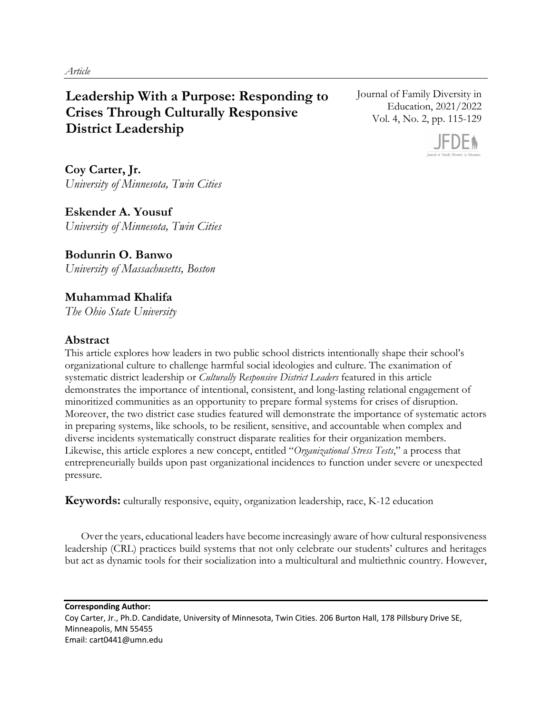# **Leadership With a Purpose: Responding to Crises Through Culturally Responsive District Leadership**

Journal of Family Diversity in Education, 2021/2022 Vol. 4, No. 2, pp. 115-129



**Coy Carter, Jr.** *University of Minnesota, Twin Cities*

**Eskender A. Yousuf** *University of Minnesota, Twin Cities* 

**Bodunrin O. Banwo** *University of Massachusetts, Boston* 

## **Muhammad Khalifa**

*The Ohio State University* 

## **Abstract**

This article explores how leaders in two public school districts intentionally shape their school's organizational culture to challenge harmful social ideologies and culture. The exanimation of systematic district leadership or *Culturally Responsive District Leaders* featured in this article demonstrates the importance of intentional, consistent, and long-lasting relational engagement of minoritized communities as an opportunity to prepare formal systems for crises of disruption. Moreover, the two district case studies featured will demonstrate the importance of systematic actors in preparing systems, like schools, to be resilient, sensitive, and accountable when complex and diverse incidents systematically construct disparate realities for their organization members. Likewise, this article explores a new concept, entitled "*Organizational Stress Tests*," a process that entrepreneurially builds upon past organizational incidences to function under severe or unexpected pressure.

**Keywords:** culturally responsive, equity, organization leadership, race, K-12 education

Over the years, educational leaders have become increasingly aware of how cultural responsiveness leadership (CRL) practices build systems that not only celebrate our students' cultures and heritages but act as dynamic tools for their socialization into a multicultural and multiethnic country. However,

**Corresponding Author:** Coy Carter, Jr., Ph.D. Candidate, University of Minnesota, Twin Cities. 206 Burton Hall, 178 Pillsbury Drive SE, Minneapolis, MN 55455 Email: cart0441@umn.edu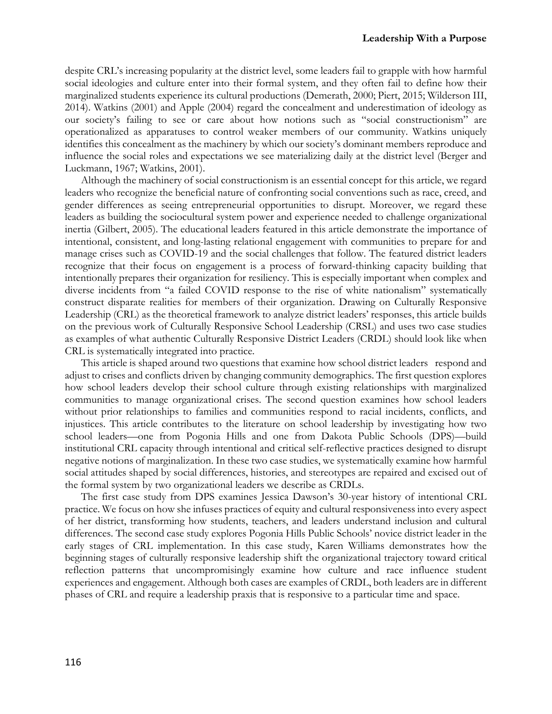despite CRL's increasing popularity at the district level, some leaders fail to grapple with how harmful social ideologies and culture enter into their formal system, and they often fail to define how their marginalized students experience its cultural productions (Demerath, 2000; Piert, 2015; Wilderson III, 2014). Watkins (2001) and Apple (2004) regard the concealment and underestimation of ideology as our society's failing to see or care about how notions such as "social constructionism" are operationalized as apparatuses to control weaker members of our community. Watkins uniquely identifies this concealment as the machinery by which our society's dominant members reproduce and influence the social roles and expectations we see materializing daily at the district level (Berger and Luckmann, 1967; Watkins, 2001).

Although the machinery of social constructionism is an essential concept for this article, we regard leaders who recognize the beneficial nature of confronting social conventions such as race, creed, and gender differences as seeing entrepreneurial opportunities to disrupt. Moreover, we regard these leaders as building the sociocultural system power and experience needed to challenge organizational inertia (Gilbert, 2005). The educational leaders featured in this article demonstrate the importance of intentional, consistent, and long-lasting relational engagement with communities to prepare for and manage crises such as COVID-19 and the social challenges that follow. The featured district leaders recognize that their focus on engagement is a process of forward-thinking capacity building that intentionally prepares their organization for resiliency. This is especially important when complex and diverse incidents from "a failed COVID response to the rise of white nationalism" systematically construct disparate realities for members of their organization. Drawing on Culturally Responsive Leadership (CRL) as the theoretical framework to analyze district leaders' responses, this article builds on the previous work of Culturally Responsive School Leadership (CRSL) and uses two case studies as examples of what authentic Culturally Responsive District Leaders (CRDL) should look like when CRL is systematically integrated into practice.

This article is shaped around two questions that examine how school district leaders respond and adjust to crises and conflicts driven by changing community demographics. The first question explores how school leaders develop their school culture through existing relationships with marginalized communities to manage organizational crises. The second question examines how school leaders without prior relationships to families and communities respond to racial incidents, conflicts, and injustices. This article contributes to the literature on school leadership by investigating how two school leaders—one from Pogonia Hills and one from Dakota Public Schools (DPS)—build institutional CRL capacity through intentional and critical self-reflective practices designed to disrupt negative notions of marginalization. In these two case studies, we systematically examine how harmful social attitudes shaped by social differences, histories, and stereotypes are repaired and excised out of the formal system by two organizational leaders we describe as CRDLs.

The first case study from DPS examines Jessica Dawson's 30-year history of intentional CRL practice. We focus on how she infuses practices of equity and cultural responsiveness into every aspect of her district, transforming how students, teachers, and leaders understand inclusion and cultural differences. The second case study explores Pogonia Hills Public Schools' novice district leader in the early stages of CRL implementation. In this case study, Karen Williams demonstrates how the beginning stages of culturally responsive leadership shift the organizational trajectory toward critical reflection patterns that uncompromisingly examine how culture and race influence student experiences and engagement. Although both cases are examples of CRDL, both leaders are in different phases of CRL and require a leadership praxis that is responsive to a particular time and space.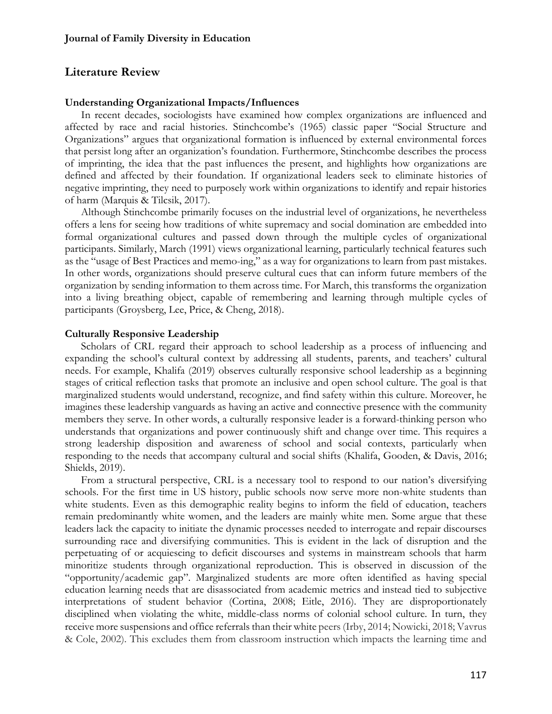### **Literature Review**

#### **Understanding Organizational Impacts/Influences**

In recent decades, sociologists have examined how complex organizations are influenced and affected by race and racial histories. Stinchcombe's (1965) classic paper "Social Structure and Organizations" argues that organizational formation is influenced by external environmental forces that persist long after an organization's foundation. Furthermore, Stinchcombe describes the process of imprinting, the idea that the past influences the present, and highlights how organizations are defined and affected by their foundation. If organizational leaders seek to eliminate histories of negative imprinting, they need to purposely work within organizations to identify and repair histories of harm (Marquis & Tilcsik, 2017).

Although Stinchcombe primarily focuses on the industrial level of organizations, he nevertheless offers a lens for seeing how traditions of white supremacy and social domination are embedded into formal organizational cultures and passed down through the multiple cycles of organizational participants. Similarly, March (1991) views organizational learning, particularly technical features such as the "usage of Best Practices and memo-ing," as a way for organizations to learn from past mistakes. In other words, organizations should preserve cultural cues that can inform future members of the organization by sending information to them across time. For March, this transforms the organization into a living breathing object, capable of remembering and learning through multiple cycles of participants (Groysberg, Lee, Price, & Cheng, 2018).

#### **Culturally Responsive Leadership**

Scholars of CRL regard their approach to school leadership as a process of influencing and expanding the school's cultural context by addressing all students, parents, and teachers' cultural needs. For example, Khalifa (2019) observes culturally responsive school leadership as a beginning stages of critical reflection tasks that promote an inclusive and open school culture. The goal is that marginalized students would understand, recognize, and find safety within this culture. Moreover, he imagines these leadership vanguards as having an active and connective presence with the community members they serve. In other words, a culturally responsive leader is a forward-thinking person who understands that organizations and power continuously shift and change over time. This requires a strong leadership disposition and awareness of school and social contexts, particularly when responding to the needs that accompany cultural and social shifts (Khalifa, Gooden, & Davis, 2016; Shields, 2019).

From a structural perspective, CRL is a necessary tool to respond to our nation's diversifying schools. For the first time in US history, public schools now serve more non-white students than white students. Even as this demographic reality begins to inform the field of education, teachers remain predominantly white women, and the leaders are mainly white men. Some argue that these leaders lack the capacity to initiate the dynamic processes needed to interrogate and repair discourses surrounding race and diversifying communities. This is evident in the lack of disruption and the perpetuating of or acquiescing to deficit discourses and systems in mainstream schools that harm minoritize students through organizational reproduction. This is observed in discussion of the "opportunity/academic gap". Marginalized students are more often identified as having special education learning needs that are disassociated from academic metrics and instead tied to subjective interpretations of student behavior (Cortina, 2008; Eitle, 2016). They are disproportionately disciplined when violating the white, middle-class norms of colonial school culture. In turn, they receive more suspensions and office referrals than their white peers (Irby, 2014; Nowicki, 2018; Vavrus & Cole, 2002). This excludes them from classroom instruction which impacts the learning time and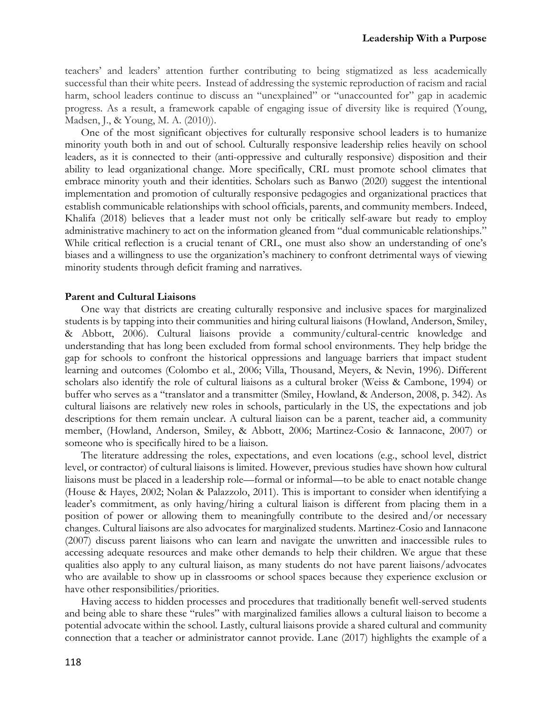teachers' and leaders' attention further contributing to being stigmatized as less academically successful than their white peers. Instead of addressing the systemic reproduction of racism and racial harm, school leaders continue to discuss an "unexplained" or "unaccounted for" gap in academic progress. As a result, a framework capable of engaging issue of diversity like is required (Young, Madsen, J., & Young, M. A. (2010)).

One of the most significant objectives for culturally responsive school leaders is to humanize minority youth both in and out of school. Culturally responsive leadership relies heavily on school leaders, as it is connected to their (anti-oppressive and culturally responsive) disposition and their ability to lead organizational change. More specifically, CRL must promote school climates that embrace minority youth and their identities. Scholars such as Banwo (2020) suggest the intentional implementation and promotion of culturally responsive pedagogies and organizational practices that establish communicable relationships with school officials, parents, and community members. Indeed, Khalifa (2018) believes that a leader must not only be critically self-aware but ready to employ administrative machinery to act on the information gleaned from "dual communicable relationships." While critical reflection is a crucial tenant of CRL, one must also show an understanding of one's biases and a willingness to use the organization's machinery to confront detrimental ways of viewing minority students through deficit framing and narratives.

#### **Parent and Cultural Liaisons**

One way that districts are creating culturally responsive and inclusive spaces for marginalized students is by tapping into their communities and hiring cultural liaisons (Howland, Anderson, Smiley, & Abbott, 2006). Cultural liaisons provide a community/cultural-centric knowledge and understanding that has long been excluded from formal school environments. They help bridge the gap for schools to confront the historical oppressions and language barriers that impact student learning and outcomes (Colombo et al., 2006; Villa, Thousand, Meyers, & Nevin, 1996). Different scholars also identify the role of cultural liaisons as a cultural broker (Weiss & Cambone, 1994) or buffer who serves as a "translator and a transmitter (Smiley, Howland, & Anderson, 2008, p. 342). As cultural liaisons are relatively new roles in schools, particularly in the US, the expectations and job descriptions for them remain unclear. A cultural liaison can be a parent, teacher aid, a community member, (Howland, Anderson, Smiley, & Abbott, 2006; Martinez-Cosio & Iannacone, 2007) or someone who is specifically hired to be a liaison.

The literature addressing the roles, expectations, and even locations (e.g., school level, district level, or contractor) of cultural liaisons is limited. However, previous studies have shown how cultural liaisons must be placed in a leadership role—formal or informal—to be able to enact notable change (House & Hayes, 2002; Nolan & Palazzolo, 2011). This is important to consider when identifying a leader's commitment, as only having/hiring a cultural liaison is different from placing them in a position of power or allowing them to meaningfully contribute to the desired and/or necessary changes. Cultural liaisons are also advocates for marginalized students. Martinez-Cosio and Iannacone (2007) discuss parent liaisons who can learn and navigate the unwritten and inaccessible rules to accessing adequate resources and make other demands to help their children. We argue that these qualities also apply to any cultural liaison, as many students do not have parent liaisons/advocates who are available to show up in classrooms or school spaces because they experience exclusion or have other responsibilities/priorities.

Having access to hidden processes and procedures that traditionally benefit well-served students and being able to share these "rules" with marginalized families allows a cultural liaison to become a potential advocate within the school. Lastly, cultural liaisons provide a shared cultural and community connection that a teacher or administrator cannot provide. Lane (2017) highlights the example of a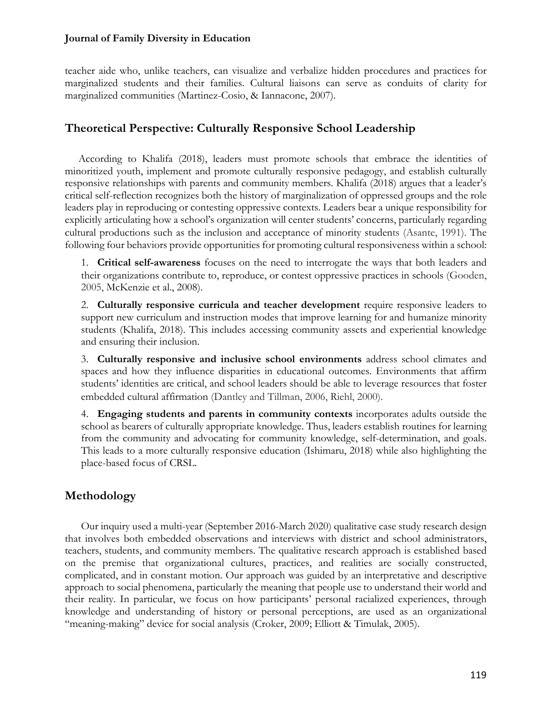teacher aide who, unlike teachers, can visualize and verbalize hidden procedures and practices for marginalized students and their families. Cultural liaisons can serve as conduits of clarity for marginalized communities (Martinez-Cosio, & Iannacone, 2007).

## **Theoretical Perspective: Culturally Responsive School Leadership**

 According to Khalifa (2018), leaders must promote schools that embrace the identities of minoritized youth, implement and promote culturally responsive pedagogy, and establish culturally responsive relationships with parents and community members. Khalifa (2018) argues that a leader's critical self-reflection recognizes both the history of marginalization of oppressed groups and the role leaders play in reproducing or contesting oppressive contexts. Leaders bear a unique responsibility for explicitly articulating how a school's organization will center students' concerns, particularly regarding cultural productions such as the inclusion and acceptance of minority students (Asante, 1991). The following four behaviors provide opportunities for promoting cultural responsiveness within a school:

1. **Critical self-awareness** focuses on the need to interrogate the ways that both leaders and their organizations contribute to, reproduce, or contest oppressive practices in schools (Gooden, 2005, McKenzie et al., 2008).

2. **Culturally responsive curricula and teacher development** require responsive leaders to support new curriculum and instruction modes that improve learning for and humanize minority students (Khalifa, 2018). This includes accessing community assets and experiential knowledge and ensuring their inclusion.

3. **Culturally responsive and inclusive school environments** address school climates and spaces and how they influence disparities in educational outcomes. Environments that affirm students' identities are critical, and school leaders should be able to leverage resources that foster embedded cultural affirmation (Dantley and Tillman, 2006, Riehl, 2000).

4. **Engaging students and parents in community contexts** incorporates adults outside the school as bearers of culturally appropriate knowledge. Thus, leaders establish routines for learning from the community and advocating for community knowledge, self-determination, and goals. This leads to a more culturally responsive education (Ishimaru, 2018) while also highlighting the place-based focus of CRSL.

## **Methodology**

Our inquiry used a multi-year (September 2016-March 2020) qualitative case study research design that involves both embedded observations and interviews with district and school administrators, teachers, students, and community members. The qualitative research approach is established based on the premise that organizational cultures, practices, and realities are socially constructed, complicated, and in constant motion. Our approach was guided by an interpretative and descriptive approach to social phenomena, particularly the meaning that people use to understand their world and their reality. In particular, we focus on how participants' personal racialized experiences, through knowledge and understanding of history or personal perceptions, are used as an organizational "meaning-making" device for social analysis (Croker, 2009; Elliott & Timulak, 2005).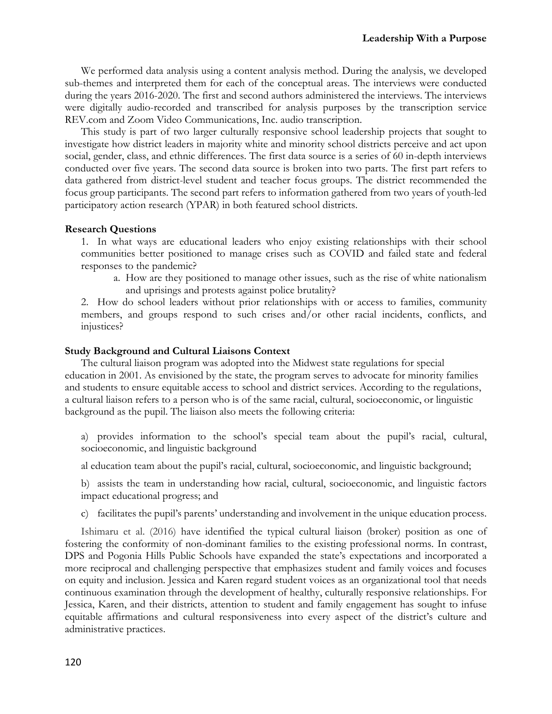We performed data analysis using a content analysis method. During the analysis, we developed sub-themes and interpreted them for each of the conceptual areas. The interviews were conducted during the years 2016-2020. The first and second authors administered the interviews. The interviews were digitally audio-recorded and transcribed for analysis purposes by the transcription service REV.com and Zoom Video Communications, Inc. audio transcription.

This study is part of two larger culturally responsive school leadership projects that sought to investigate how district leaders in majority white and minority school districts perceive and act upon social, gender, class, and ethnic differences. The first data source is a series of 60 in-depth interviews conducted over five years. The second data source is broken into two parts. The first part refers to data gathered from district-level student and teacher focus groups. The district recommended the focus group participants. The second part refers to information gathered from two years of youth-led participatory action research (YPAR) in both featured school districts.

#### **Research Questions**

1. In what ways are educational leaders who enjoy existing relationships with their school communities better positioned to manage crises such as COVID and failed state and federal responses to the pandemic?

a. How are they positioned to manage other issues, such as the rise of white nationalism and uprisings and protests against police brutality?

2. How do school leaders without prior relationships with or access to families, community members, and groups respond to such crises and/or other racial incidents, conflicts, and injustices?

#### **Study Background and Cultural Liaisons Context**

The cultural liaison program was adopted into the Midwest state regulations for special education in 2001. As envisioned by the state, the program serves to advocate for minority families and students to ensure equitable access to school and district services. According to the regulations, a cultural liaison refers to a person who is of the same racial, cultural, socioeconomic, or linguistic background as the pupil. The liaison also meets the following criteria:

a) provides information to the school's special team about the pupil's racial, cultural, socioeconomic, and linguistic background

al education team about the pupil's racial, cultural, socioeconomic, and linguistic background;

b) assists the team in understanding how racial, cultural, socioeconomic, and linguistic factors impact educational progress; and

c) facilitates the pupil's parents' understanding and involvement in the unique education process.

Ishimaru et al. (2016) have identified the typical cultural liaison (broker) position as one of fostering the conformity of non-dominant families to the existing professional norms. In contrast, DPS and Pogonia Hills Public Schools have expanded the state's expectations and incorporated a more reciprocal and challenging perspective that emphasizes student and family voices and focuses on equity and inclusion. Jessica and Karen regard student voices as an organizational tool that needs continuous examination through the development of healthy, culturally responsive relationships. For Jessica, Karen, and their districts, attention to student and family engagement has sought to infuse equitable affirmations and cultural responsiveness into every aspect of the district's culture and administrative practices.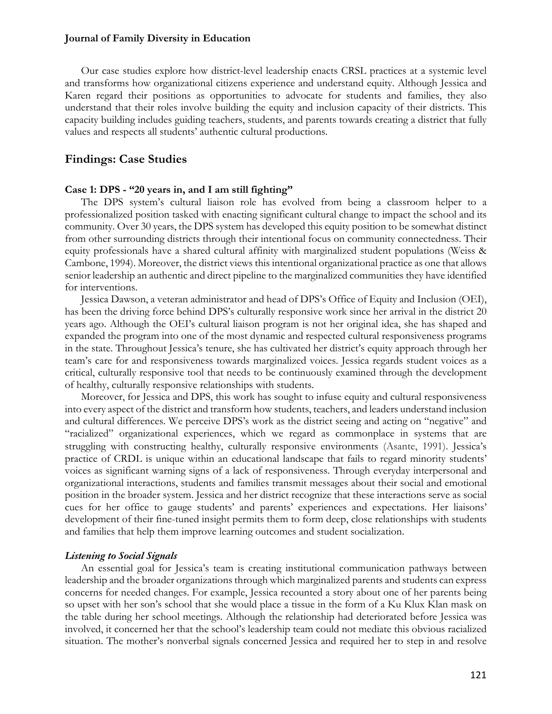Our case studies explore how district-level leadership enacts CRSL practices at a systemic level and transforms how organizational citizens experience and understand equity. Although Jessica and Karen regard their positions as opportunities to advocate for students and families, they also understand that their roles involve building the equity and inclusion capacity of their districts. This capacity building includes guiding teachers, students, and parents towards creating a district that fully values and respects all students' authentic cultural productions.

#### **Findings: Case Studies**

#### **Case 1: DPS - "20 years in, and I am still fighting"**

The DPS system's cultural liaison role has evolved from being a classroom helper to a professionalized position tasked with enacting significant cultural change to impact the school and its community. Over 30 years, the DPS system has developed this equity position to be somewhat distinct from other surrounding districts through their intentional focus on community connectedness. Their equity professionals have a shared cultural affinity with marginalized student populations (Weiss & Cambone, 1994). Moreover, the district views this intentional organizational practice as one that allows senior leadership an authentic and direct pipeline to the marginalized communities they have identified for interventions.

Jessica Dawson, a veteran administrator and head of DPS's Office of Equity and Inclusion (OEI), has been the driving force behind DPS's culturally responsive work since her arrival in the district 20 years ago. Although the OEI's cultural liaison program is not her original idea, she has shaped and expanded the program into one of the most dynamic and respected cultural responsiveness programs in the state. Throughout Jessica's tenure, she has cultivated her district's equity approach through her team's care for and responsiveness towards marginalized voices. Jessica regards student voices as a critical, culturally responsive tool that needs to be continuously examined through the development of healthy, culturally responsive relationships with students.

Moreover, for Jessica and DPS, this work has sought to infuse equity and cultural responsiveness into every aspect of the district and transform how students, teachers, and leaders understand inclusion and cultural differences. We perceive DPS's work as the district seeing and acting on "negative" and "racialized" organizational experiences, which we regard as commonplace in systems that are struggling with constructing healthy, culturally responsive environments (Asante, 1991). Jessica's practice of CRDL is unique within an educational landscape that fails to regard minority students' voices as significant warning signs of a lack of responsiveness. Through everyday interpersonal and organizational interactions, students and families transmit messages about their social and emotional position in the broader system. Jessica and her district recognize that these interactions serve as social cues for her office to gauge students' and parents' experiences and expectations. Her liaisons' development of their fine-tuned insight permits them to form deep, close relationships with students and families that help them improve learning outcomes and student socialization.

#### *Listening to Social Signals*

An essential goal for Jessica's team is creating institutional communication pathways between leadership and the broader organizations through which marginalized parents and students can express concerns for needed changes. For example, Jessica recounted a story about one of her parents being so upset with her son's school that she would place a tissue in the form of a Ku Klux Klan mask on the table during her school meetings. Although the relationship had deteriorated before Jessica was involved, it concerned her that the school's leadership team could not mediate this obvious racialized situation. The mother's nonverbal signals concerned Jessica and required her to step in and resolve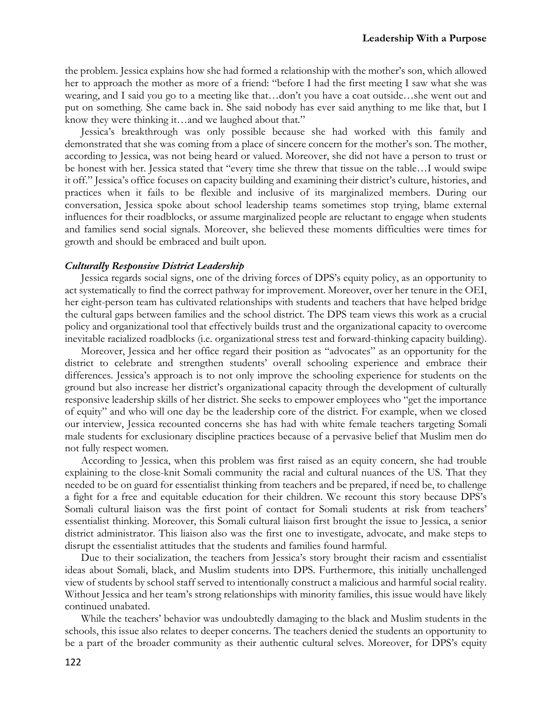the problem. Jessica explains how she had formed a relationship with the mother's son, which allowed her to approach the mother as more of a friend: "before I had the first meeting I saw what she was wearing, and I said you go to a meeting like that…don't you have a coat outside…she went out and put on something. She came back in. She said nobody has ever said anything to me like that, but I know they were thinking it…and we laughed about that*.*"

Jessica's breakthrough was only possible because she had worked with this family and demonstrated that she was coming from a place of sincere concern for the mother's son. The mother, according to Jessica, was not being heard or valued. Moreover, she did not have a person to trust or be honest with her. Jessica stated that "every time she threw that tissue on the table…I would swipe it off." Jessica's office focuses on capacity building and examining their district's culture, histories, and practices when it fails to be flexible and inclusive of its marginalized members. During our conversation, Jessica spoke about school leadership teams sometimes stop trying, blame external influences for their roadblocks, or assume marginalized people are reluctant to engage when students and families send social signals. Moreover, she believed these moments difficulties were times for growth and should be embraced and built upon.

#### *Culturally Responsive District Leadership*

Jessica regards social signs, one of the driving forces of DPS's equity policy, as an opportunity to act systematically to find the correct pathway for improvement. Moreover, over her tenure in the OEI, her eight-person team has cultivated relationships with students and teachers that have helped bridge the cultural gaps between families and the school district. The DPS team views this work as a crucial policy and organizational tool that effectively builds trust and the organizational capacity to overcome inevitable racialized roadblocks (i.e. organizational stress test and forward-thinking capacity building).

Moreover, Jessica and her office regard their position as "advocates" as an opportunity for the district to celebrate and strengthen students' overall schooling experience and embrace their differences. Jessica's approach is to not only improve the schooling experience for students on the ground but also increase her district's organizational capacity through the development of culturally responsive leadership skills of her district. She seeks to empower employees who "get the importance of equity" and who will one day be the leadership core of the district. For example, when we closed our interview, Jessica recounted concerns she has had with white female teachers targeting Somali male students for exclusionary discipline practices because of a pervasive belief that Muslim men do not fully respect women.

According to Jessica, when this problem was first raised as an equity concern, she had trouble explaining to the close-knit Somali community the racial and cultural nuances of the US. That they needed to be on guard for essentialist thinking from teachers and be prepared, if need be, to challenge a fight for a free and equitable education for their children. We recount this story because DPS's Somali cultural liaison was the first point of contact for Somali students at risk from teachers' essentialist thinking. Moreover, this Somali cultural liaison first brought the issue to Jessica, a senior district administrator. This liaison also was the first one to investigate, advocate, and make steps to disrupt the essentialist attitudes that the students and families found harmful.

Due to their socialization, the teachers from Jessica's story brought their racism and essentialist ideas about Somali, black, and Muslim students into DPS. Furthermore, this initially unchallenged view of students by school staff served to intentionally construct a malicious and harmful social reality. Without Jessica and her team's strong relationships with minority families, this issue would have likely continued unabated.

While the teachers' behavior was undoubtedly damaging to the black and Muslim students in the schools, this issue also relates to deeper concerns. The teachers denied the students an opportunity to be a part of the broader community as their authentic cultural selves. Moreover, for DPS's equity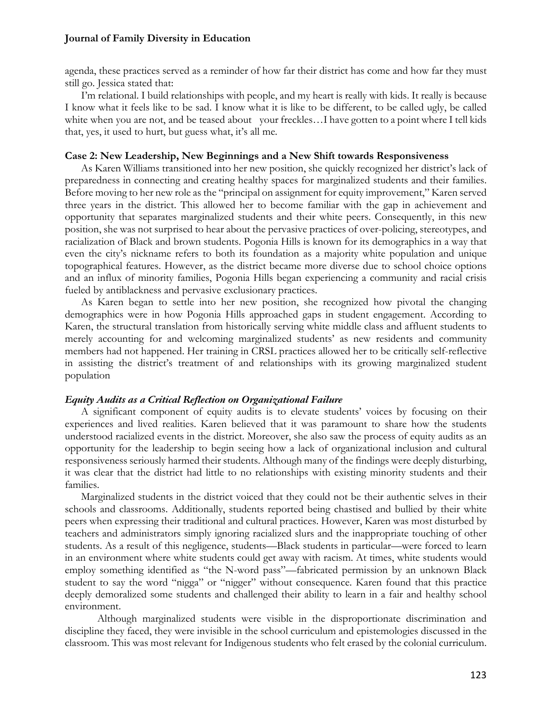agenda, these practices served as a reminder of how far their district has come and how far they must still go. Jessica stated that:

I'm relational. I build relationships with people, and my heart is really with kids. It really is because I know what it feels like to be sad. I know what it is like to be different, to be called ugly, be called white when you are not, and be teased about your freckles...I have gotten to a point where I tell kids that, yes, it used to hurt, but guess what, it's all me*.*

#### **Case 2: New Leadership, New Beginnings and a New Shift towards Responsiveness**

As Karen Williams transitioned into her new position, she quickly recognized her district's lack of preparedness in connecting and creating healthy spaces for marginalized students and their families. Before moving to her new role as the "principal on assignment for equity improvement," Karen served three years in the district. This allowed her to become familiar with the gap in achievement and opportunity that separates marginalized students and their white peers. Consequently, in this new position, she was not surprised to hear about the pervasive practices of over-policing, stereotypes, and racialization of Black and brown students. Pogonia Hills is known for its demographics in a way that even the city's nickname refers to both its foundation as a majority white population and unique topographical features. However, as the district became more diverse due to school choice options and an influx of minority families, Pogonia Hills began experiencing a community and racial crisis fueled by antiblackness and pervasive exclusionary practices.

As Karen began to settle into her new position, she recognized how pivotal the changing demographics were in how Pogonia Hills approached gaps in student engagement. According to Karen, the structural translation from historically serving white middle class and affluent students to merely accounting for and welcoming marginalized students' as new residents and community members had not happened. Her training in CRSL practices allowed her to be critically self-reflective in assisting the district's treatment of and relationships with its growing marginalized student population

#### *Equity Audits as a Critical Reflection on Organizational Failure*

A significant component of equity audits is to elevate students' voices by focusing on their experiences and lived realities. Karen believed that it was paramount to share how the students understood racialized events in the district. Moreover, she also saw the process of equity audits as an opportunity for the leadership to begin seeing how a lack of organizational inclusion and cultural responsiveness seriously harmed their students. Although many of the findings were deeply disturbing, it was clear that the district had little to no relationships with existing minority students and their families.

Marginalized students in the district voiced that they could not be their authentic selves in their schools and classrooms. Additionally, students reported being chastised and bullied by their white peers when expressing their traditional and cultural practices. However, Karen was most disturbed by teachers and administrators simply ignoring racialized slurs and the inappropriate touching of other students. As a result of this negligence, students—Black students in particular—were forced to learn in an environment where white students could get away with racism. At times, white students would employ something identified as "the N-word pass"—fabricated permission by an unknown Black student to say the word "nigga" or "nigger" without consequence. Karen found that this practice deeply demoralized some students and challenged their ability to learn in a fair and healthy school environment.

 Although marginalized students were visible in the disproportionate discrimination and discipline they faced, they were invisible in the school curriculum and epistemologies discussed in the classroom. This was most relevant for Indigenous students who felt erased by the colonial curriculum.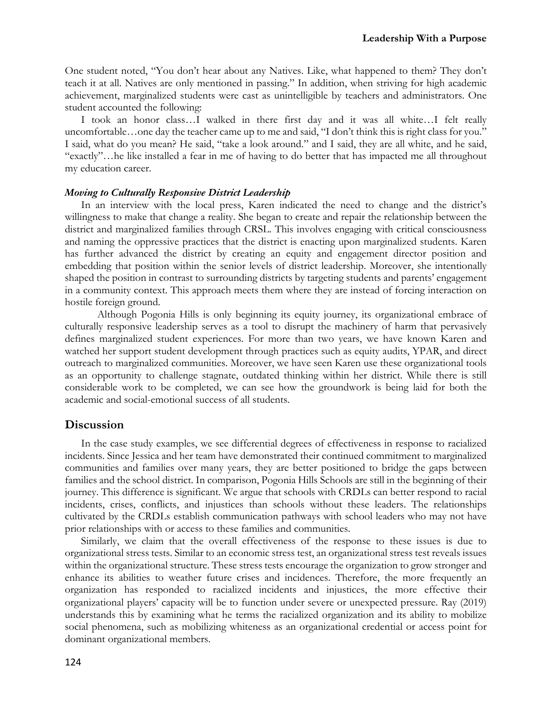One student noted, "You don't hear about any Natives. Like, what happened to them? They don't teach it at all. Natives are only mentioned in passing." In addition, when striving for high academic achievement, marginalized students were cast as unintelligible by teachers and administrators. One student accounted the following:

I took an honor class…I walked in there first day and it was all white…I felt really uncomfortable…one day the teacher came up to me and said, "I don't think this is right class for you." I said, what do you mean? He said, "take a look around." and I said, they are all white, and he said, "exactly"…he like installed a fear in me of having to do better that has impacted me all throughout my education career.

#### *Moving to Culturally Responsive District Leadership*

In an interview with the local press, Karen indicated the need to change and the district's willingness to make that change a reality. She began to create and repair the relationship between the district and marginalized families through CRSL. This involves engaging with critical consciousness and naming the oppressive practices that the district is enacting upon marginalized students. Karen has further advanced the district by creating an equity and engagement director position and embedding that position within the senior levels of district leadership. Moreover, she intentionally shaped the position in contrast to surrounding districts by targeting students and parents' engagement in a community context. This approach meets them where they are instead of forcing interaction on hostile foreign ground.

Although Pogonia Hills is only beginning its equity journey, its organizational embrace of culturally responsive leadership serves as a tool to disrupt the machinery of harm that pervasively defines marginalized student experiences. For more than two years, we have known Karen and watched her support student development through practices such as equity audits, YPAR, and direct outreach to marginalized communities. Moreover, we have seen Karen use these organizational tools as an opportunity to challenge stagnate, outdated thinking within her district. While there is still considerable work to be completed, we can see how the groundwork is being laid for both the academic and social-emotional success of all students.

#### **Discussion**

In the case study examples, we see differential degrees of effectiveness in response to racialized incidents. Since Jessica and her team have demonstrated their continued commitment to marginalized communities and families over many years, they are better positioned to bridge the gaps between families and the school district. In comparison, Pogonia Hills Schools are still in the beginning of their journey. This difference is significant. We argue that schools with CRDLs can better respond to racial incidents, crises, conflicts, and injustices than schools without these leaders. The relationships cultivated by the CRDLs establish communication pathways with school leaders who may not have prior relationships with or access to these families and communities.

Similarly, we claim that the overall effectiveness of the response to these issues is due to organizational stress tests. Similar to an economic stress test, an organizational stress test reveals issues within the organizational structure. These stress tests encourage the organization to grow stronger and enhance its abilities to weather future crises and incidences. Therefore, the more frequently an organization has responded to racialized incidents and injustices, the more effective their organizational players' capacity will be to function under severe or unexpected pressure. Ray (2019) understands this by examining what he terms the racialized organization and its ability to mobilize social phenomena, such as mobilizing whiteness as an organizational credential or access point for dominant organizational members.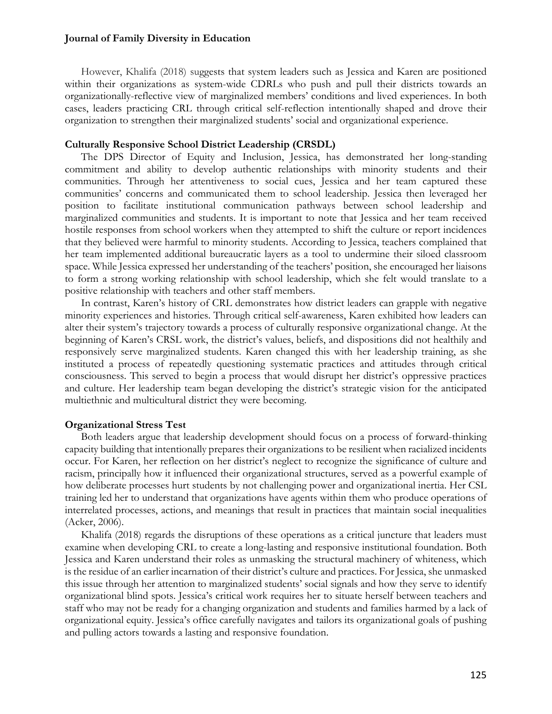However, Khalifa (2018) suggests that system leaders such as Jessica and Karen are positioned within their organizations as system-wide CDRLs who push and pull their districts towards an organizationally-reflective view of marginalized members' conditions and lived experiences. In both cases, leaders practicing CRL through critical self-reflection intentionally shaped and drove their organization to strengthen their marginalized students' social and organizational experience.

#### **Culturally Responsive School District Leadership (CRSDL)**

The DPS Director of Equity and Inclusion, Jessica, has demonstrated her long-standing commitment and ability to develop authentic relationships with minority students and their communities. Through her attentiveness to social cues, Jessica and her team captured these communities' concerns and communicated them to school leadership. Jessica then leveraged her position to facilitate institutional communication pathways between school leadership and marginalized communities and students. It is important to note that Jessica and her team received hostile responses from school workers when they attempted to shift the culture or report incidences that they believed were harmful to minority students. According to Jessica, teachers complained that her team implemented additional bureaucratic layers as a tool to undermine their siloed classroom space. While Jessica expressed her understanding of the teachers' position, she encouraged her liaisons to form a strong working relationship with school leadership, which she felt would translate to a positive relationship with teachers and other staff members.

In contrast, Karen's history of CRL demonstrates how district leaders can grapple with negative minority experiences and histories. Through critical self-awareness, Karen exhibited how leaders can alter their system's trajectory towards a process of culturally responsive organizational change. At the beginning of Karen's CRSL work, the district's values, beliefs, and dispositions did not healthily and responsively serve marginalized students. Karen changed this with her leadership training, as she instituted a process of repeatedly questioning systematic practices and attitudes through critical consciousness. This served to begin a process that would disrupt her district's oppressive practices and culture. Her leadership team began developing the district's strategic vision for the anticipated multiethnic and multicultural district they were becoming.

#### **Organizational Stress Test**

Both leaders argue that leadership development should focus on a process of forward-thinking capacity building that intentionally prepares their organizations to be resilient when racialized incidents occur. For Karen, her reflection on her district's neglect to recognize the significance of culture and racism, principally how it influenced their organizational structures, served as a powerful example of how deliberate processes hurt students by not challenging power and organizational inertia. Her CSL training led her to understand that organizations have agents within them who produce operations of interrelated processes, actions, and meanings that result in practices that maintain social inequalities (Acker, 2006).

Khalifa (2018) regards the disruptions of these operations as a critical juncture that leaders must examine when developing CRL to create a long-lasting and responsive institutional foundation. Both Jessica and Karen understand their roles as unmasking the structural machinery of whiteness, which is the residue of an earlier incarnation of their district's culture and practices. For Jessica, she unmasked this issue through her attention to marginalized students' social signals and how they serve to identify organizational blind spots. Jessica's critical work requires her to situate herself between teachers and staff who may not be ready for a changing organization and students and families harmed by a lack of organizational equity. Jessica's office carefully navigates and tailors its organizational goals of pushing and pulling actors towards a lasting and responsive foundation.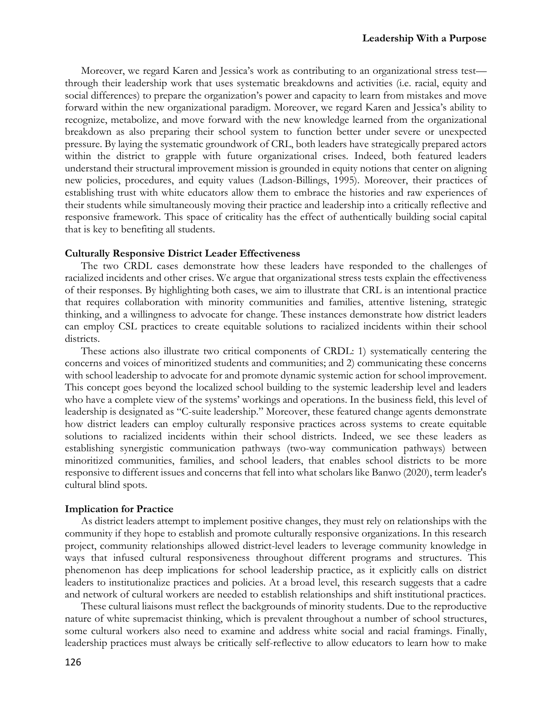Moreover, we regard Karen and Jessica's work as contributing to an organizational stress test through their leadership work that uses systematic breakdowns and activities (i.e. racial, equity and social differences) to prepare the organization's power and capacity to learn from mistakes and move forward within the new organizational paradigm. Moreover, we regard Karen and Jessica's ability to recognize, metabolize, and move forward with the new knowledge learned from the organizational breakdown as also preparing their school system to function better under severe or unexpected pressure. By laying the systematic groundwork of CRL, both leaders have strategically prepared actors within the district to grapple with future organizational crises. Indeed, both featured leaders understand their structural improvement mission is grounded in equity notions that center on aligning new policies, procedures, and equity values (Ladson-Billings, 1995). Moreover, their practices of establishing trust with white educators allow them to embrace the histories and raw experiences of their students while simultaneously moving their practice and leadership into a critically reflective and responsive framework. This space of criticality has the effect of authentically building social capital that is key to benefiting all students.

#### **Culturally Responsive District Leader Effectiveness**

The two CRDL cases demonstrate how these leaders have responded to the challenges of racialized incidents and other crises. We argue that organizational stress tests explain the effectiveness of their responses. By highlighting both cases, we aim to illustrate that CRL is an intentional practice that requires collaboration with minority communities and families, attentive listening, strategic thinking, and a willingness to advocate for change. These instances demonstrate how district leaders can employ CSL practices to create equitable solutions to racialized incidents within their school districts.

These actions also illustrate two critical components of CRDL: 1) systematically centering the concerns and voices of minoritized students and communities; and 2) communicating these concerns with school leadership to advocate for and promote dynamic systemic action for school improvement. This concept goes beyond the localized school building to the systemic leadership level and leaders who have a complete view of the systems' workings and operations. In the business field, this level of leadership is designated as "C-suite leadership." Moreover, these featured change agents demonstrate how district leaders can employ culturally responsive practices across systems to create equitable solutions to racialized incidents within their school districts. Indeed, we see these leaders as establishing synergistic communication pathways (two-way communication pathways) between minoritized communities, families, and school leaders, that enables school districts to be more responsive to different issues and concerns that fell into what scholars like Banwo (2020), term leader's cultural blind spots.

#### **Implication for Practice**

As district leaders attempt to implement positive changes, they must rely on relationships with the community if they hope to establish and promote culturally responsive organizations. In this research project, community relationships allowed district-level leaders to leverage community knowledge in ways that infused cultural responsiveness throughout different programs and structures. This phenomenon has deep implications for school leadership practice, as it explicitly calls on district leaders to institutionalize practices and policies. At a broad level, this research suggests that a cadre and network of cultural workers are needed to establish relationships and shift institutional practices.

These cultural liaisons must reflect the backgrounds of minority students. Due to the reproductive nature of white supremacist thinking, which is prevalent throughout a number of school structures, some cultural workers also need to examine and address white social and racial framings. Finally, leadership practices must always be critically self-reflective to allow educators to learn how to make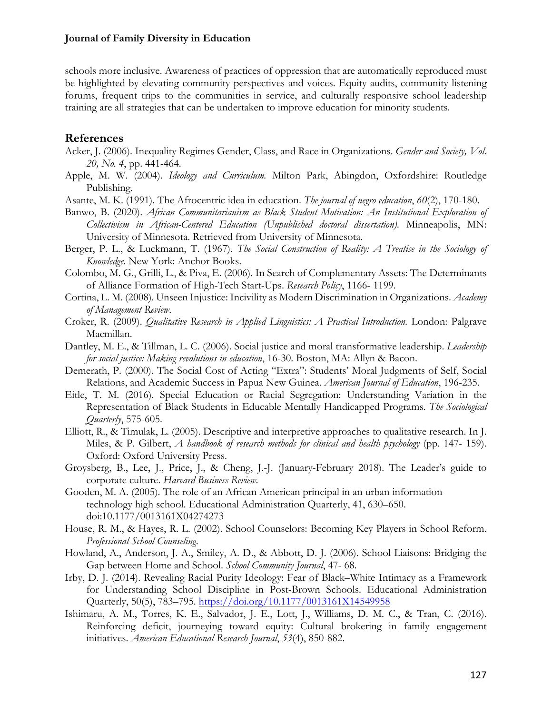schools more inclusive. Awareness of practices of oppression that are automatically reproduced must be highlighted by elevating community perspectives and voices. Equity audits, community listening forums, frequent trips to the communities in service, and culturally responsive school leadership training are all strategies that can be undertaken to improve education for minority students.

### **References**

- Acker, J. (2006). Inequality Regimes Gender, Class, and Race in Organizations. *Gender and Society, Vol. 20, No. 4*, pp. 441-464.
- Apple, M. W. (2004). *Ideology and Curriculum.* Milton Park, Abingdon, Oxfordshire: Routledge Publishing.
- Asante, M. K. (1991). The Afrocentric idea in education. *The journal of negro education*, *60*(2), 170-180.
- Banwo, B. (2020). *African Communitarianism as Black Student Motivation: An Institutional Exploration of Collectivism in African-Centered Education (Unpublished doctoral dissertation).* Minneapolis, MN: University of Minnesota. Retrieved from University of Minnesota.
- Berger, P. L., & Luckmann, T. (1967). *The Social Construction of Reality: A Treatise in the Sociology of Knowledge.* New York: Anchor Books.
- Colombo, M. G., Grilli, L., & Piva, E. (2006). In Search of Complementary Assets: The Determinants of Alliance Formation of High-Tech Start-Ups. *Research Policy*, 1166- 1199.
- Cortina, L. M. (2008). Unseen Injustice: Incivility as Modern Discrimination in Organizations. *Academy of Management Review*.
- Croker, R. (2009). *Qualitative Research in Applied Linguistics: A Practical Introduction.* London: Palgrave Macmillan.
- Dantley, M. E., & Tillman, L. C. (2006). Social justice and moral transformative leadership. *Leadership for social justice: Making revolutions in education*, 16-30. Boston, MA: Allyn & Bacon.
- Demerath, P. (2000). The Social Cost of Acting "Extra": Students' Moral Judgments of Self, Social Relations, and Academic Success in Papua New Guinea. *American Journal of Education*, 196-235.
- Eitle, T. M. (2016). Special Education or Racial Segregation: Understanding Variation in the Representation of Black Students in Educable Mentally Handicapped Programs. *The Sociological Quarterly*, 575-605.
- Elliott, R., & Timulak, L. (2005). Descriptive and interpretive approaches to qualitative research. In J. Miles, & P. Gilbert, *A handbook of research methods for clinical and health psychology* (pp. 147- 159). Oxford: Oxford University Press.
- Groysberg, B., Lee, J., Price, J., & Cheng, J.-J. (January-February 2018). The Leader's guide to corporate culture. *Harvard Business Review*.
- Gooden, M. A. (2005). The role of an African American principal in an urban information technology high school. Educational Administration Quarterly, 41, 630–650. doi:10.1177/0013161X04274273
- House, R. M., & Hayes, R. L. (2002). School Counselors: Becoming Key Players in School Reform. *Professional School Counseling*.
- Howland, A., Anderson, J. A., Smiley, A. D., & Abbott, D. J. (2006). School Liaisons: Bridging the Gap between Home and School. *School Community Journal*, 47- 68.
- Irby, D. J. (2014). Revealing Racial Purity Ideology: Fear of Black–White Intimacy as a Framework for Understanding School Discipline in Post-Brown Schools. Educational Administration Quarterly, 50(5), 783–795. https://doi.org/10.1177/0013161X14549958
- Ishimaru, A. M., Torres, K. E., Salvador, J. E., Lott, J., Williams, D. M. C., & Tran, C. (2016). Reinforcing deficit, journeying toward equity: Cultural brokering in family engagement initiatives. *American Educational Research Journal*, *53*(4), 850-882.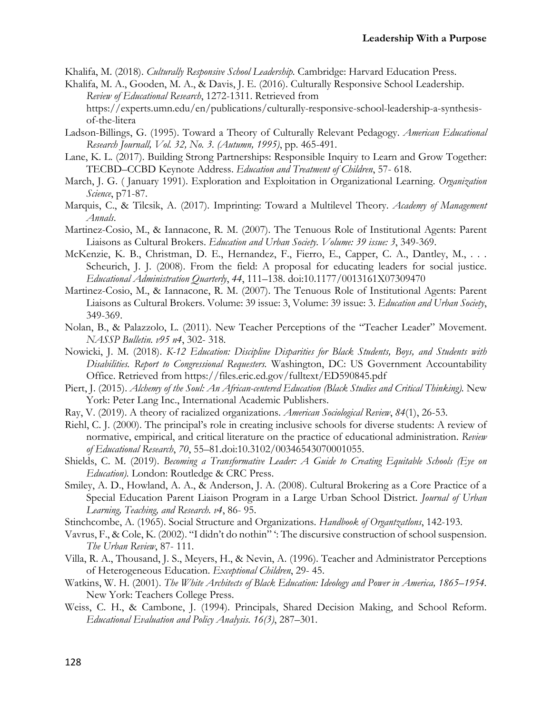Khalifa, M. (2018). *Culturally Responsive School Leadership.* Cambridge: Harvard Education Press.

- Khalifa, M. A., Gooden, M. A., & Davis, J. E. (2016). Culturally Responsive School Leadership. *Review of Educational Research*, 1272-1311. Retrieved from https://experts.umn.edu/en/publications/culturally-responsive-school-leadership-a-synthesisof-the-litera
- Ladson-Billings, G. (1995). Toward a Theory of Culturally Relevant Pedagogy. *American Educational Research Journall, Vol. 32, No. 3. (Autumn, 1995)*, pp. 465-491.
- Lane, K. L. (2017). Building Strong Partnerships: Responsible Inquiry to Learn and Grow Together: TECBD–CCBD Keynote Address. *Education and Treatment of Children*, 57- 618.
- March, J. G. ( January 1991). Exploration and Exploitation in Organizational Learning. *Organization Science*, p71-87.
- Marquis, C., & Tilcsik, A. (2017). Imprinting: Toward a Multilevel Theory. *Academy of Management Annals*.
- Martinez-Cosio, M., & Iannacone, R. M. (2007). The Tenuous Role of Institutional Agents: Parent Liaisons as Cultural Brokers. *Education and Urban Society. Volume: 39 issue: 3*, 349-369.
- McKenzie, K. B., Christman, D. E., Hernandez, F., Fierro, E., Capper, C. A., Dantley, M., . . . Scheurich, J. J. (2008). From the field: A proposal for educating leaders for social justice. *Educational Administration Quarterly*, *44*, 111–138. doi:10.1177/0013161X07309470
- Martinez-Cosio, M., & Iannacone, R. M. (2007). The Tenuous Role of Institutional Agents: Parent Liaisons as Cultural Brokers. Volume: 39 issue: 3, Volume: 39 issue: 3. *Education and Urban Society*, 349-369.
- Nolan, B., & Palazzolo, L. (2011). New Teacher Perceptions of the "Teacher Leader" Movement. *NASSP Bulletin. v95 n4*, 302- 318.
- Nowicki, J. M. (2018). *K-12 Education: Discipline Disparities for Black Students, Boys, and Students with Disabilities. Report to Congressional Requesters.* Washington, DC: US Government Accountability Office. Retrieved from https://files.eric.ed.gov/fulltext/ED590845.pdf
- Piert, J. (2015). *Alchemy of the Soul: An African-centered Education (Black Studies and Critical Thinking).* New York: Peter Lang Inc., International Academic Publishers.
- Ray, V. (2019). A theory of racialized organizations. *American Sociological Review*, *84*(1), 26-53.
- Riehl, C. J. (2000). The principal's role in creating inclusive schools for diverse students: A review of normative, empirical, and critical literature on the practice of educational administration. *Review of Educational Research*, *70*, 55–81.doi:10.3102/00346543070001055.
- Shields, C. M. (2019). *Becoming a Transformative Leader: A Guide to Creating Equitable Schools (Eye on Education).* London: Routledge & CRC Press.
- Smiley, A. D., Howland, A. A., & Anderson, J. A. (2008). Cultural Brokering as a Core Practice of a Special Education Parent Liaison Program in a Large Urban School District. *Journal of Urban Learning, Teaching, and Research. v4*, 86- 95.
- Stinchcombe, A. (1965). Social Structure and Organizations. *Handbook of Organtzatlons*, 142-193.
- Vavrus, F., & Cole, K. (2002). "I didn't do nothin" ': The discursive construction of school suspension. *The Urban Review*, 87- 111.
- Villa, R. A., Thousand, J. S., Meyers, H., & Nevin, A. (1996). Teacher and Administrator Perceptions of Heterogeneous Education. *Exceptional Children*, 29- 45.
- Watkins, W. H. (2001). *The White Architects of Black Education: Ideology and Power in America, 1865–1954.* New York: Teachers College Press.
- Weiss, C. H., & Cambone, J. (1994). Principals, Shared Decision Making, and School Reform. *Educational Evaluation and Policy Analysis. 16(3)*, 287–301.